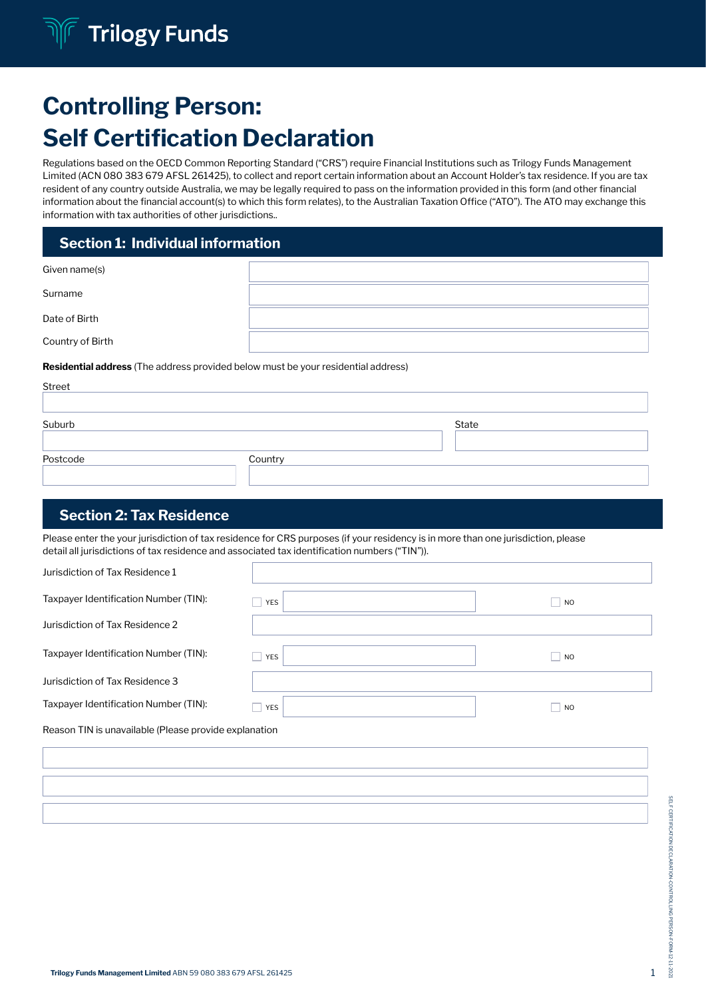# Controlling Person: Self Certification Declaration

Regulations based on the OECD Common Reporting Standard ("CRS") require Financial Institutions such as Trilogy Funds Management Limited (ACN 080 383 679 AFSL 261425), to collect and report certain information about an Account Holder's tax residence. If you are tax resident of any country outside Australia, we may be legally required to pass on the information provided in this form (and other financial information about the financial account(s) to which this form relates), to the Australian Taxation Office ("ATO"). The ATO may exchange this information with tax authorities of other jurisdictions..

## Section 1: Individual information

| Given name(s)    |  |
|------------------|--|
| Surname          |  |
| Date of Birth    |  |
| Country of Birth |  |

#### Residential address (The address provided below must be your residential address)

| Street   |         |       |  |
|----------|---------|-------|--|
|          |         |       |  |
| Suburb   |         | State |  |
|          |         |       |  |
| Postcode | Country |       |  |
|          |         |       |  |

# Section 2: Tax Residence

Please enter the your jurisdiction of tax residence for CRS purposes (if your residency is in more than one jurisdiction, please detail all jurisdictions of tax residence and associated tax identification numbers ("TIN")).

| Jurisdiction of Tax Residence 1       |            |                |
|---------------------------------------|------------|----------------|
| Taxpayer Identification Number (TIN): | <b>YES</b> | N <sub>O</sub> |
| Jurisdiction of Tax Residence 2       |            |                |
| Taxpayer Identification Number (TIN): | <b>YES</b> | $ $ NO         |
| Jurisdiction of Tax Residence 3       |            |                |
| Taxpayer Identification Number (TIN): | <b>YES</b> | N <sub>O</sub> |

Reason TIN is unavailable (Please provide explanation